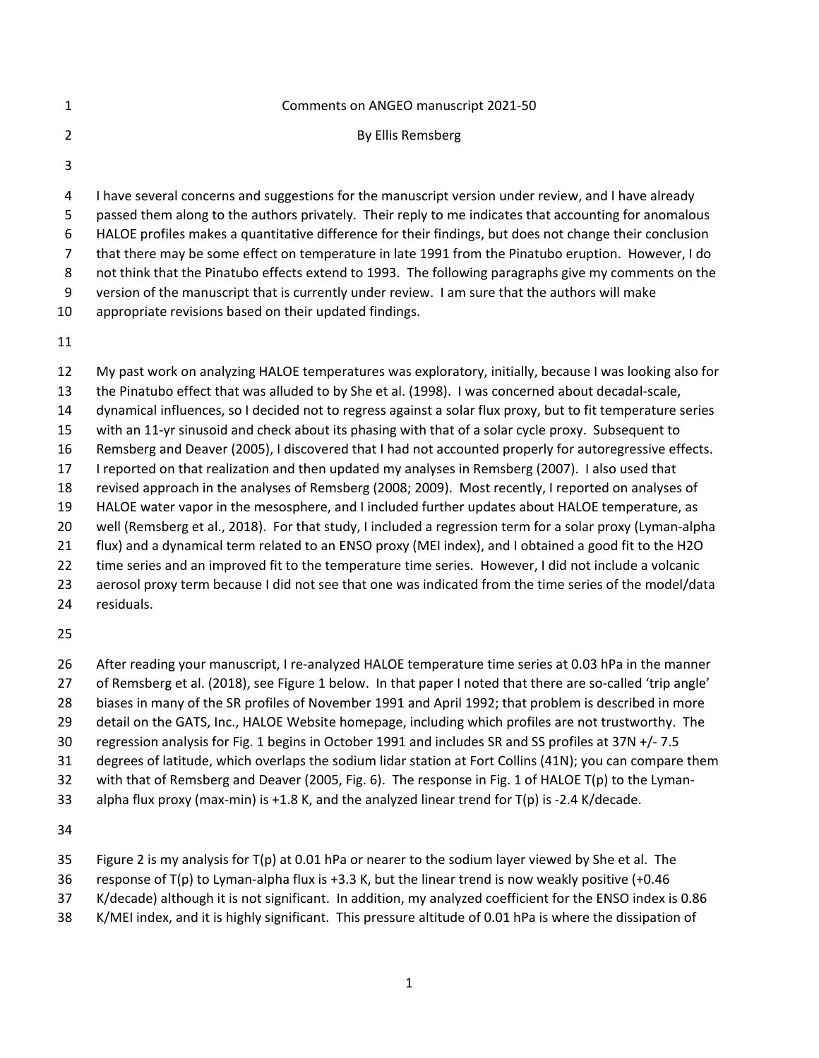|   | Comments on ANGEO manuscript 2021-50                                                                |
|---|-----------------------------------------------------------------------------------------------------|
|   | By Ellis Remsberg                                                                                   |
|   |                                                                                                     |
| 4 | I have several concerns and suggestions for the manuscript version under review, and I have already |

 passed them along to the authors privately. Their reply to me indicates that accounting for anomalous HALOE profiles makes a quantitative difference for their findings, but does not change their conclusion that there may be some effect on temperature in late 1991 from the Pinatubo eruption. However, I do not think that the Pinatubo effects extend to 1993. The following paragraphs give my comments on the

version of the manuscript that is currently under review. I am sure that the authors will make

appropriate revisions based on their updated findings.

 My past work on analyzing HALOE temperatures was exploratory, initially, because I was looking also for the Pinatubo effect that was alluded to by She et al. (1998). I was concerned about decadal-scale, dynamical influences, so I decided not to regress against a solar flux proxy, but to fit temperature series with an 11-yr sinusoid and check about its phasing with that of a solar cycle proxy. Subsequent to Remsberg and Deaver (2005), I discovered that I had not accounted properly for autoregressive effects. I reported on that realization and then updated my analyses in Remsberg (2007). I also used that revised approach in the analyses of Remsberg (2008; 2009). Most recently, I reported on analyses of HALOE water vapor in the mesosphere, and I included further updates about HALOE temperature, as well (Remsberg et al., 2018). For that study, I included a regression term for a solar proxy (Lyman-alpha flux) and a dynamical term related to an ENSO proxy (MEI index), and I obtained a good fit to the H2O time series and an improved fit to the temperature time series. However, I did not include a volcanic

aerosol proxy term because I did not see that one was indicated from the time series of the model/data

residuals.

After reading your manuscript, I re-analyzed HALOE temperature time series at 0.03 hPa in the manner

- of Remsberg et al. (2018), see Figure 1 below. In that paper I noted that there are so-called 'trip angle'
- biases in many of the SR profiles of November 1991 and April 1992; that problem is described in more
- detail on the GATS, Inc., HALOE Website homepage, including which profiles are not trustworthy. The
- regression analysis for Fig. 1 begins in October 1991 and includes SR and SS profiles at 37N +/- 7.5
- degrees of latitude, which overlaps the sodium lidar station at Fort Collins (41N); you can compare them
- with that of Remsberg and Deaver (2005, Fig. 6). The response in Fig. 1 of HALOE T(p) to the Lyman-
- alpha flux proxy (max-min) is +1.8 K, and the analyzed linear trend for T(p) is -2.4 K/decade.

- Figure 2 is my analysis for T(p) at 0.01 hPa or nearer to the sodium layer viewed by She et al. The
- response of T(p) to Lyman-alpha flux is +3.3 K, but the linear trend is now weakly positive (+0.46
- K/decade) although it is not significant. In addition, my analyzed coefficient for the ENSO index is 0.86
- K/MEI index, and it is highly significant. This pressure altitude of 0.01 hPa is where the dissipation of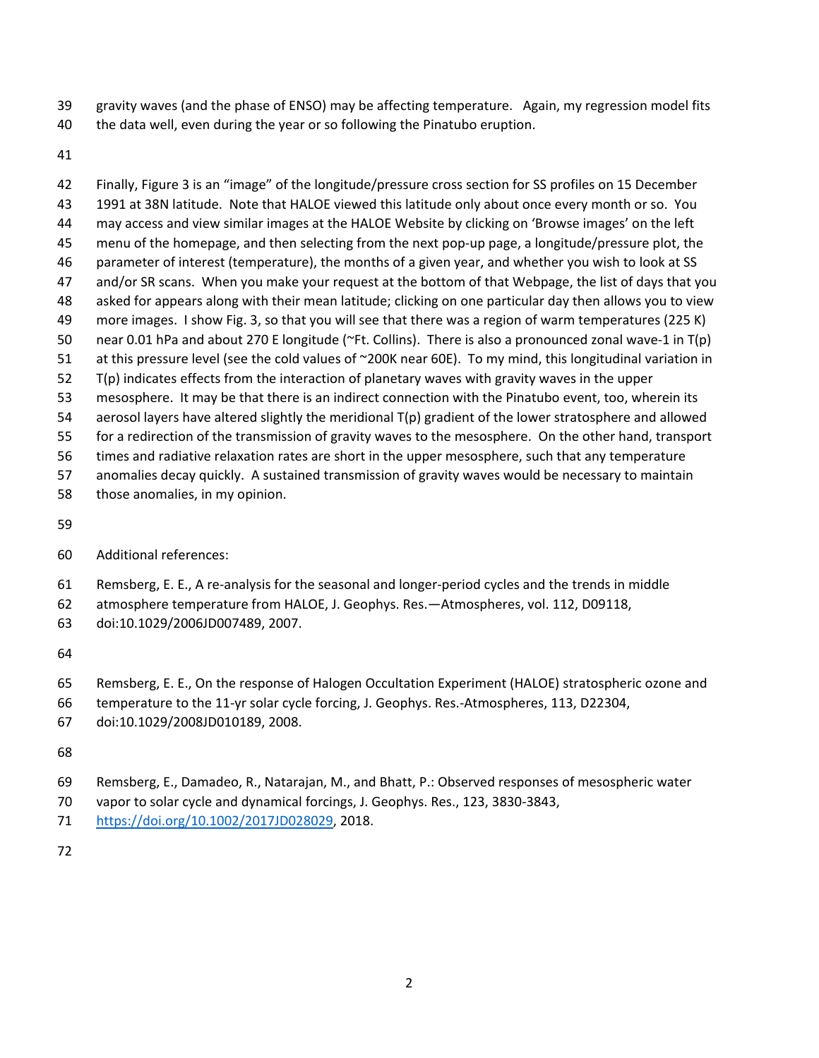- gravity waves (and the phase of ENSO) may be affecting temperature. Again, my regression model fits
- the data well, even during the year or so following the Pinatubo eruption.
- 

 Finally, Figure 3 is an "image" of the longitude/pressure cross section for SS profiles on 15 December 1991 at 38N latitude. Note that HALOE viewed this latitude only about once every month or so. You may access and view similar images at the HALOE Website by clicking on 'Browse images' on the left menu of the homepage, and then selecting from the next pop-up page, a longitude/pressure plot, the parameter of interest (temperature), the months of a given year, and whether you wish to look at SS and/or SR scans. When you make your request at the bottom of that Webpage, the list of days that you asked for appears along with their mean latitude; clicking on one particular day then allows you to view more images. I show Fig. 3, so that you will see that there was a region of warm temperatures (225 K) near 0.01 hPa and about 270 E longitude (~Ft. Collins). There is also a pronounced zonal wave-1 in T(p) at this pressure level (see the cold values of ~200K near 60E). To my mind, this longitudinal variation in T(p) indicates effects from the interaction of planetary waves with gravity waves in the upper mesosphere. It may be that there is an indirect connection with the Pinatubo event, too, wherein its aerosol layers have altered slightly the meridional T(p) gradient of the lower stratosphere and allowed for a redirection of the transmission of gravity waves to the mesosphere. On the other hand, transport times and radiative relaxation rates are short in the upper mesosphere, such that any temperature anomalies decay quickly. A sustained transmission of gravity waves would be necessary to maintain

- those anomalies, in my opinion.
- 
- Additional references:
- Remsberg, E. E., A re-analysis for the seasonal and longer-period cycles and the trends in middle
- atmosphere temperature from HALOE, J. Geophys. Res.—Atmospheres, vol. 112, D09118,
- doi:10.1029/2006JD007489, 2007.
- 
- Remsberg, E. E., On the response of Halogen Occultation Experiment (HALOE) stratospheric ozone and
- temperature to the 11-yr solar cycle forcing, J. Geophys. Res.-Atmospheres, 113, D22304,
- doi:10.1029/2008JD010189, 2008.
- 
- Remsberg, E., Damadeo, R., Natarajan, M., and Bhatt, P.: Observed responses of mesospheric water
- vapor to solar cycle and dynamical forcings, J. Geophys. Res., 123, 3830-3843,
- [https://doi.org/10.1002/2017JD028029,](https://doi.org/10.1002/2017JD028029) 2018.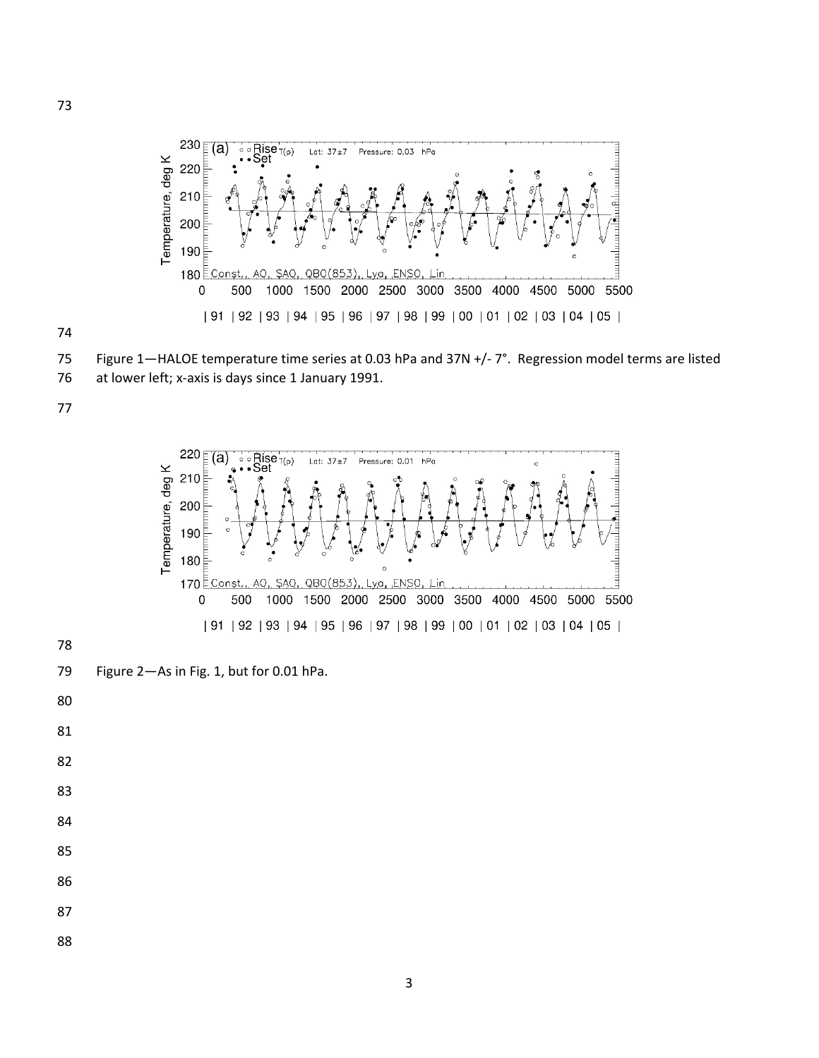



Figure 1—HALOE temperature time series at 0.03 hPa and 37N +/- 7°. Regression model terms are listed

at lower left; x-axis is days since 1 January 1991.



Figure 2—As in Fig. 1, but for 0.01 hPa.

- 
- 
- 
- 
- 

- 
- 
- 
-